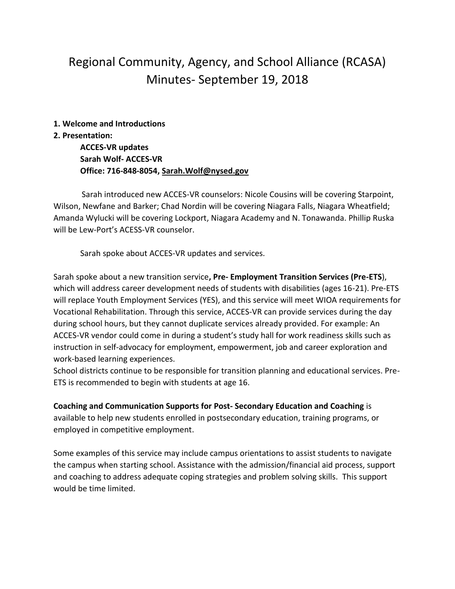# Regional Community, Agency, and School Alliance (RCASA) Minutes- September 19, 2018

#### **1. Welcome and Introductions**

### **2. Presentation:**

**ACCES-VR updates Sarah Wolf- ACCES-VR Office: 716-848-8054[, Sarah.Wolf@nysed.gov](mailto:Sarah.Wolf@nysed.gov)**

 Sarah introduced new ACCES-VR counselors: Nicole Cousins will be covering Starpoint, Wilson, Newfane and Barker; Chad Nordin will be covering Niagara Falls, Niagara Wheatfield; Amanda Wylucki will be covering Lockport, Niagara Academy and N. Tonawanda. Phillip Ruska will be Lew-Port's ACESS-VR counselor.

Sarah spoke about ACCES-VR updates and services.

Sarah spoke about a new transition service**, Pre- Employment Transition Services (Pre-ETS**), which will address career development needs of students with disabilities (ages 16-21). Pre-ETS will replace Youth Employment Services (YES), and this service will meet WIOA requirements for Vocational Rehabilitation. Through this service, ACCES-VR can provide services during the day during school hours, but they cannot duplicate services already provided. For example: An ACCES-VR vendor could come in during a student's study hall for work readiness skills such as instruction in self-advocacy for employment, empowerment, job and career exploration and work-based learning experiences.

School districts continue to be responsible for transition planning and educational services. Pre-ETS is recommended to begin with students at age 16.

**Coaching and Communication Supports for Post- Secondary Education and Coaching** is available to help new students enrolled in postsecondary education, training programs, or employed in competitive employment.

Some examples of this service may include campus orientations to assist students to navigate the campus when starting school. Assistance with the admission/financial aid process, support and coaching to address adequate coping strategies and problem solving skills. This support would be time limited.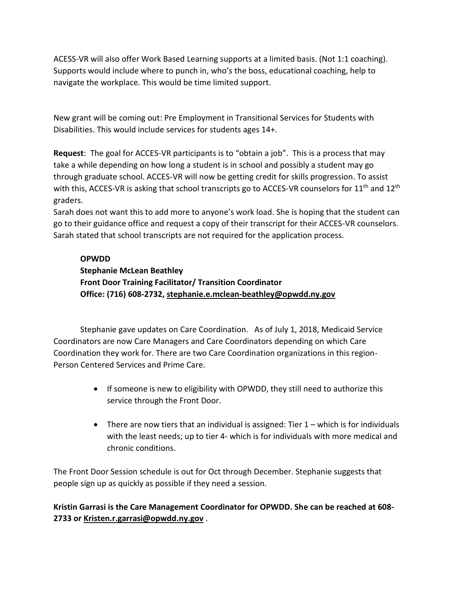ACESS-VR will also offer Work Based Learning supports at a limited basis. (Not 1:1 coaching). Supports would include where to punch in, who's the boss, educational coaching, help to navigate the workplace. This would be time limited support.

New grant will be coming out: Pre Employment in Transitional Services for Students with Disabilities. This would include services for students ages 14+.

**Request**: The goal for ACCES-VR participants is to "obtain a job". This is a process that may take a while depending on how long a student is in school and possibly a student may go through graduate school. ACCES-VR will now be getting credit for skills progression. To assist with this, ACCES-VR is asking that school transcripts go to ACCES-VR counselors for 11<sup>th</sup> and 12<sup>th</sup> graders.

Sarah does not want this to add more to anyone's work load. She is hoping that the student can go to their guidance office and request a copy of their transcript for their ACCES-VR counselors. Sarah stated that school transcripts are not required for the application process.

### **OPWDD**

# **Stephanie McLean Beathley Front Door Training Facilitator/ Transition Coordinator Office: (716) 608-2732, stephanie.e.mclean-beathley@opwdd.ny.gov**

Stephanie gave updates on Care Coordination. As of July 1, 2018, Medicaid Service Coordinators are now Care Managers and Care Coordinators depending on which Care Coordination they work for. There are two Care Coordination organizations in this region-Person Centered Services and Prime Care.

- If someone is new to eligibility with OPWDD, they still need to authorize this service through the Front Door.
- $\bullet$  There are now tiers that an individual is assigned: Tier  $1 -$  which is for individuals with the least needs; up to tier 4- which is for individuals with more medical and chronic conditions.

The Front Door Session schedule is out for Oct through December. Stephanie suggests that people sign up as quickly as possible if they need a session.

## **Kristin Garrasi is the Care Management Coordinator for OPWDD. She can be reached at 608- 2733 or [Kristen.r.garrasi@opwdd.ny.gov](mailto:Kristen.r.garrasi@opwdd.ny.gov)** .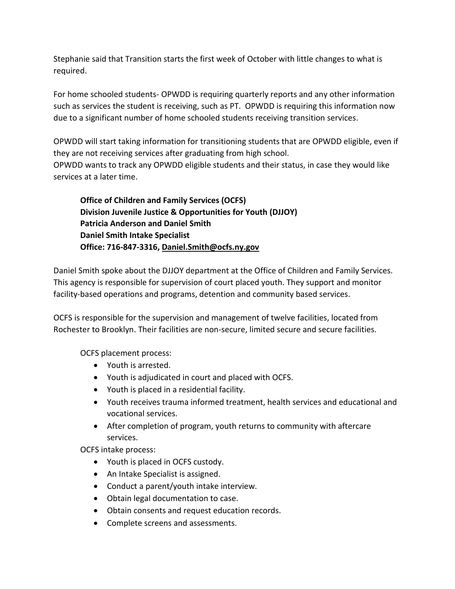Stephanie said that Transition starts the first week of October with little changes to what is required.

For home schooled students- OPWDD is requiring quarterly reports and any other information such as services the student is receiving, such as PT. OPWDD is requiring this information now due to a significant number of home schooled students receiving transition services.

OPWDD will start taking information for transitioning students that are OPWDD eligible, even if they are not receiving services after graduating from high school. OPWDD wants to track any OPWDD eligible students and their status, in case they would like services at a later time.

**Office of Children and Family Services (OCFS) Division Juvenile Justice & Opportunities for Youth (DJJOY) Patricia Anderson and Daniel Smith Daniel Smith Intake Specialist Office: 716-847-3316[, Daniel.Smith@ocfs.ny.gov](mailto:Daniel.Smith@ocfs.ny.gov)**

Daniel Smith spoke about the DJJOY department at the Office of Children and Family Services. This agency is responsible for supervision of court placed youth. They support and monitor facility-based operations and programs, detention and community based services.

OCFS is responsible for the supervision and management of twelve facilities, located from Rochester to Brooklyn. Their facilities are non-secure, limited secure and secure facilities.

OCFS placement process:

- Youth is arrested.
- Youth is adjudicated in court and placed with OCFS.
- Youth is placed in a residential facility.
- Youth receives trauma informed treatment, health services and educational and vocational services.
- After completion of program, youth returns to community with aftercare services.

OCFS intake process:

- Youth is placed in OCFS custody.
- An Intake Specialist is assigned.
- Conduct a parent/youth intake interview.
- Obtain legal documentation to case.
- Obtain consents and request education records.
- Complete screens and assessments.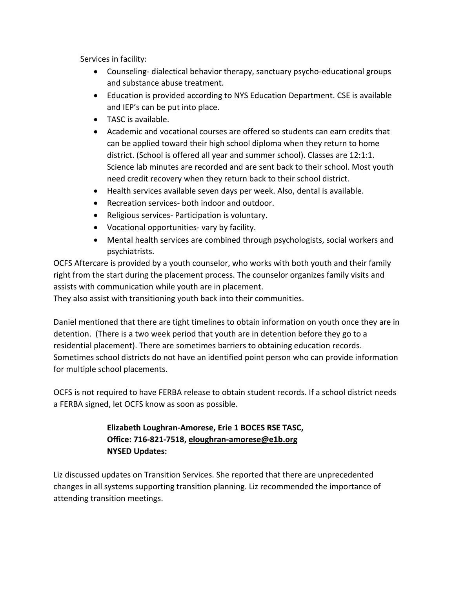Services in facility:

- Counseling- dialectical behavior therapy, sanctuary psycho-educational groups and substance abuse treatment.
- Education is provided according to NYS Education Department. CSE is available and IEP's can be put into place.
- TASC is available.
- Academic and vocational courses are offered so students can earn credits that can be applied toward their high school diploma when they return to home district. (School is offered all year and summer school). Classes are 12:1:1. Science lab minutes are recorded and are sent back to their school. Most youth need credit recovery when they return back to their school district.
- Health services available seven days per week. Also, dental is available.
- Recreation services- both indoor and outdoor.
- Religious services- Participation is voluntary.
- Vocational opportunities- vary by facility.
- Mental health services are combined through psychologists, social workers and psychiatrists.

OCFS Aftercare is provided by a youth counselor, who works with both youth and their family right from the start during the placement process. The counselor organizes family visits and assists with communication while youth are in placement.

They also assist with transitioning youth back into their communities.

Daniel mentioned that there are tight timelines to obtain information on youth once they are in detention. (There is a two week period that youth are in detention before they go to a residential placement). There are sometimes barriers to obtaining education records. Sometimes school districts do not have an identified point person who can provide information for multiple school placements.

OCFS is not required to have FERBA release to obtain student records. If a school district needs a FERBA signed, let OCFS know as soon as possible.

### **Elizabeth Loughran-Amorese, Erie 1 BOCES RSE TASC, Office: 716-821-7518[, eloughran-amorese@e1b.org](mailto:eloughran-amorese@e1b.org) NYSED Updates:**

Liz discussed updates on Transition Services. She reported that there are unprecedented changes in all systems supporting transition planning. Liz recommended the importance of attending transition meetings.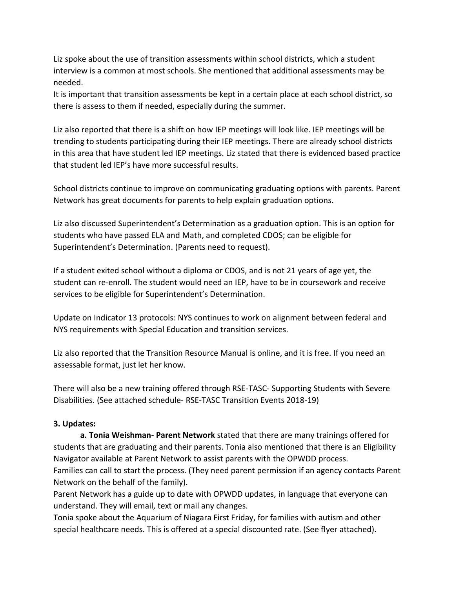Liz spoke about the use of transition assessments within school districts, which a student interview is a common at most schools. She mentioned that additional assessments may be needed.

It is important that transition assessments be kept in a certain place at each school district, so there is assess to them if needed, especially during the summer.

Liz also reported that there is a shift on how IEP meetings will look like. IEP meetings will be trending to students participating during their IEP meetings. There are already school districts in this area that have student led IEP meetings. Liz stated that there is evidenced based practice that student led IEP's have more successful results.

School districts continue to improve on communicating graduating options with parents. Parent Network has great documents for parents to help explain graduation options.

Liz also discussed Superintendent's Determination as a graduation option. This is an option for students who have passed ELA and Math, and completed CDOS; can be eligible for Superintendent's Determination. (Parents need to request).

If a student exited school without a diploma or CDOS, and is not 21 years of age yet, the student can re-enroll. The student would need an IEP, have to be in coursework and receive services to be eligible for Superintendent's Determination.

Update on Indicator 13 protocols: NYS continues to work on alignment between federal and NYS requirements with Special Education and transition services.

Liz also reported that the Transition Resource Manual is online, and it is free. If you need an assessable format, just let her know.

There will also be a new training offered through RSE-TASC- Supporting Students with Severe Disabilities. (See attached schedule- RSE-TASC Transition Events 2018-19)

### **3. Updates:**

**a. Tonia Weishman- Parent Network** stated that there are many trainings offered for students that are graduating and their parents. Tonia also mentioned that there is an Eligibility Navigator available at Parent Network to assist parents with the OPWDD process.

Families can call to start the process. (They need parent permission if an agency contacts Parent Network on the behalf of the family).

Parent Network has a guide up to date with OPWDD updates, in language that everyone can understand. They will email, text or mail any changes.

Tonia spoke about the Aquarium of Niagara First Friday, for families with autism and other special healthcare needs. This is offered at a special discounted rate. (See flyer attached).